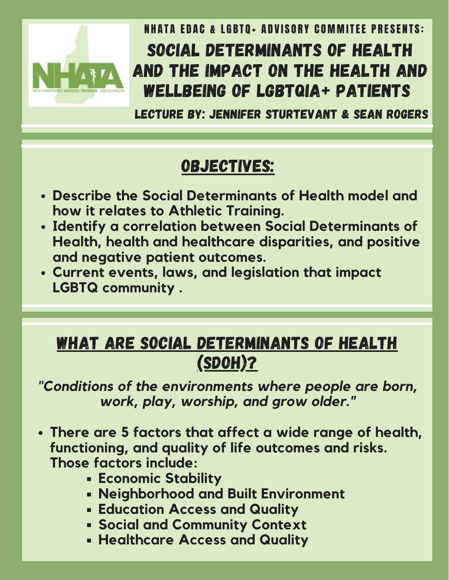

NHATA EDAC & LGBTO+ ADVISORY COMMITEE PRESENTS: SOCIAL DETERMINANTS OF HEALTH AND THE IMPACT ON THE HEALTH AND WELLBEING OF LGBTQIA+ PATIENTS

LECTURE BY: JENNIFER STURTEVANT & SEAN ROGERS

## OBJECTIVES:

- **Describe the Social Determinants of Health model and how it relates to Athletic Training.**
- **Identify a correlation between Social Determinants of Health, health and healthcare disparities, and positive and negative patient outcomes.**
- **Current events, laws, and legislation that impact LGBTQ community .**

## WHAT ARE SOCIAL DETERMINANTS OF HEALTH (SDOH)?

*"Conditions of the environments where people are born, work, play, worship, and grow older."*

- **There are 5 factors that affect a wide range of health, functioning, and quality of life outcomes and risks. Those factors include:**
	- **Economic Stability**
	- **Neighborhood and Built Environment**
	- **Education Access and Quality**
	- **Social and Community Context**
	- **Healthcare Access and Quality**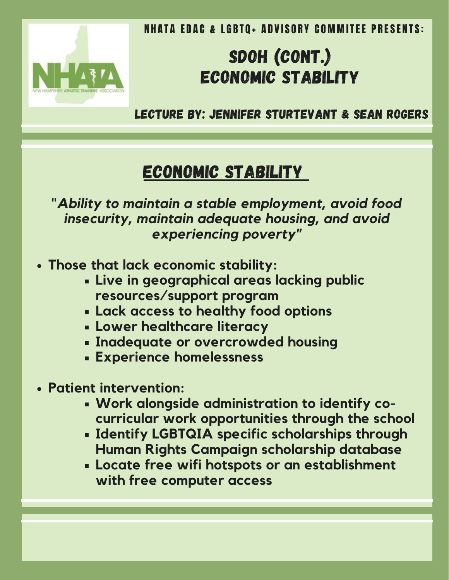

# SDOH (CONT.) ECONOMIC STABILITY

LECTURE BY: JENNIFER STURTEVANT & SEAN ROGERS

## ECONOMIC STABILITY

"*Ability to maintain a stable employment, avoid food insecurity, maintain adequate housing, and avoid experiencing poverty"*

- **Those that lack economic stability:**
	- **Live in geographical areas lacking public resources/support program**
	- **Lack access to healthy food options**
	- **Lower healthcare literacy**
	- **Inadequate or overcrowded housing**
	- **Experience homelessness**
- **Patient intervention:**
	- **Work alongside administration to identify cocurricular work opportunities through the school**
	- **Identify LGBTQIA specific scholarships through Human Rights Campaign scholarship database**
	- **Locate free wifi hotspots or an establishment with free computer access**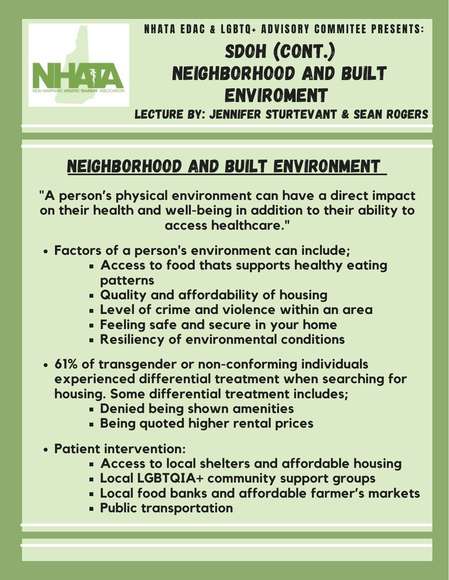

# SDOH (CONT.) NEIGHBORHOOD AND BUILT ENVIROMENT

LECTURE BY: JENNIFER STURTEVANT & SEAN ROGERS

#### NEIGHBORHOOD AND BUILT ENVIRONMENT

"**A person's physical environment can have a direct impact on their health and well-being in addition to their ability to access healthcare."**

- **Factors of a person's environment can include;**
	- **Access to food thats supports healthy eating patterns**
	- **Quality and affordability of housing**
	- **Level of crime and violence within an area**
	- **Feeling safe and secure in your home**
	- **Resiliency of environmental conditions**
- **61% of transgender or non-conforming individuals experienced differential treatment when searching for housing. Some differential treatment includes;**
	- **Denied being shown amenities**
	- **Being quoted higher rental prices**
- **Patient intervention:**
	- **Access to local shelters and affordable housing**
	- **Local LGBTQIA+ community support groups**
	- **Local food banks and affordable farmer's markets**
	- **Public transportation**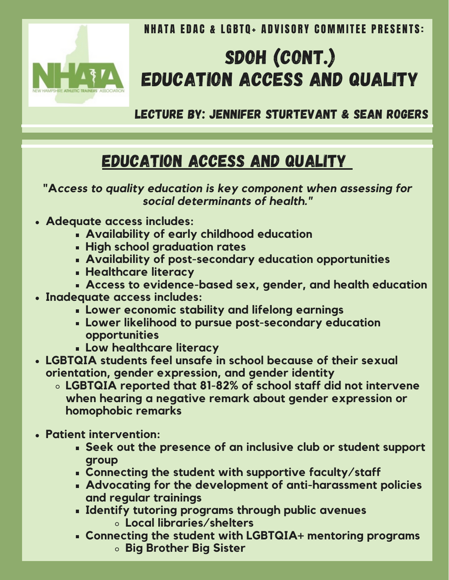

# SDOH (CONT.) EDUCATION ACCESS AND QUALITY

LECTURE BY: JENNIFER STURTEVANT & SEAN ROGERS

#### Education Access and Quality

**"A***ccess to quality education is key component when assessing for social determinants of health."*

- **Adequate access includes:**
	- **Availability of early childhood education**
	- **High school graduation rates**
	- **Availability of post-secondary education opportunities**
	- **Healthcare literacy**
	- **Access to evidence-based sex, gender, and health education**
- **Inadequate access includes:**
	- **Lower economic stability and lifelong earnings**
	- **Lower likelihood to pursue post-secondary education opportunities**
	- **Low healthcare literacy**
- **LGBTQIA students feel unsafe in school because of their sexual orientation, gender expression, and gender identity**
	- **LGBTQIA reported that 81-82% of school staff did not intervene when hearing a negative remark about gender expression or homophobic remarks**
- **Patient intervention:**
	- **Seek out the presence of an inclusive club or student support group**
	- **Connecting the student with supportive faculty/staff**
	- **Advocating for the development of anti-harassment policies and regular trainings**
	- **Identify tutoring programs through public avenues Local libraries/shelters**
	- **Connecting the student with LGBTQIA+ mentoring programs**
		- **Big Brother Big Sister**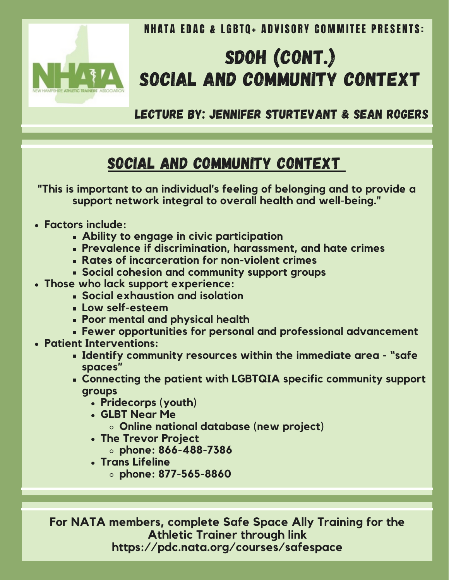

# SDOH (CONT.) SOCIAL AND COMMUNITY CONTEXT

LECTURE BY: JENNIFER STURTEVANT & SEAN ROGERS

#### Social and Community Context

**"This is important to an individual's feeling of belonging and to provide a support network integral to overall health and well-being."**

- **Factors include:**
	- **Ability to engage in civic participation**
	- **Prevalence if discrimination, harassment, and hate crimes**
	- **Rates of incarceration for non-violent crimes**
	- **Social cohesion and community support groups**
- **Those who lack support experience:**
	- **Social exhaustion and isolation**
	- **Low self-esteem**
	- **Poor mental and physical health**
	- **Fewer opportunities for personal and professional advancement**
- **Patient Interventions:**
	- **Identify community resources within the immediate area - "safe spaces"**
	- **Connecting the patient with LGBTQIA specific community support groups**
		- **Pridecorps (youth)**
		- **GLBT Near Me**
			- **Online national database (new project)**
		- **The Trevor Project**
			- **phone: 866-488-7386**
		- **Trans Lifeline**
			- **phone: 877-565-8860**

**For NATA members, complete Safe Space Ally Training for the Athletic Trainer through link https://pdc.nata.org/courses/safespace**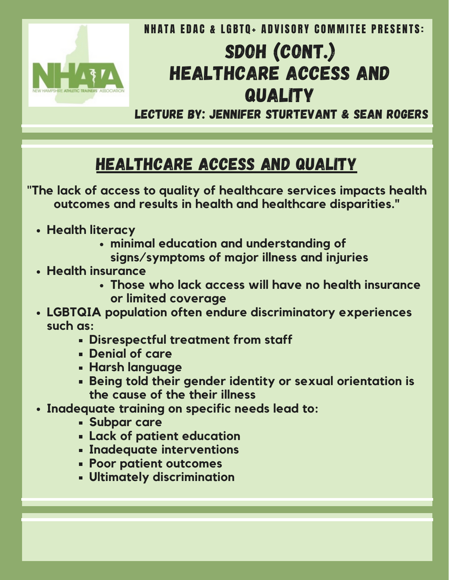

# SDOH (CONT.) HEALTHCARE ACCESS AND **QUALITY**

LECTURE BY: JENNIFER STURTEVANT & SEAN ROGERS

### HealthCare Access and Quality

"**The lack of access to quality of healthcare services impacts health outcomes and results in health and healthcare disparities."**

- **Health literacy**
	- **minimal education and understanding of signs/symptoms of major illness and injuries**
- **Health insurance**
	- **Those who lack access will have no health insurance or limited coverage**
- **LGBTQIA population often endure discriminatory experiences such as:**
	- **Disrespectful treatment from staff**
	- **Denial of care**
	- **Harsh language**
	- **Being told their gender identity or sexual orientation is the cause of the their illness**
- **Inadequate training on specific needs lead to:**
	- **Subpar care**
	- **Lack of patient education**
	- **Inadequate interventions**
	- **Poor patient outcomes**
	- **Ultimately discrimination**